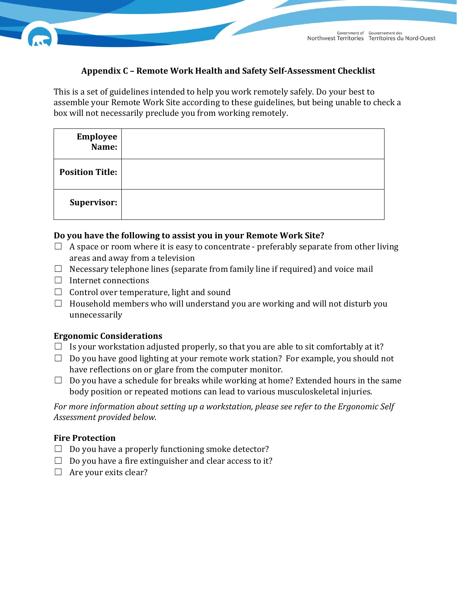### **Appendix C – Remote Work Health and Safety Self-Assessment Checklist**

This is a set of guidelines intended to help you work remotely safely. Do your best to assemble your Remote Work Site according to these guidelines, but being unable to check a box will not necessarily preclude you from working remotely.

| <b>Employee</b><br>Name: |  |
|--------------------------|--|
| <b>Position Title:</b>   |  |
| Supervisor:              |  |

#### **Do you have the following to assist you in your Remote Work Site?**

- $\Box$  A space or room where it is easy to concentrate preferably separate from other living areas and away from a television
- $\Box$  Necessary telephone lines (separate from family line if required) and voice mail
- $\Box$  Internet connections
- $\Box$  Control over temperature, light and sound
- $\Box$  Household members who will understand you are working and will not disturb you unnecessarily

#### **Ergonomic Considerations**

- $\Box$  Is your workstation adjusted properly, so that you are able to sit comfortably at it?
- $\Box$  Do you have good lighting at your remote work station? For example, you should not have reflections on or glare from the computer monitor.
- $\Box$  Do you have a schedule for breaks while working at home? Extended hours in the same body position or repeated motions can lead to various musculoskeletal injuries.

*For more information about setting up a workstation, please see refer to the Ergonomic Self Assessment provided below.* 

#### **Fire Protection**

- $\Box$  Do you have a properly functioning smoke detector?
- $\Box$  Do you have a fire extinguisher and clear access to it?
- $\Box$  Are your exits clear?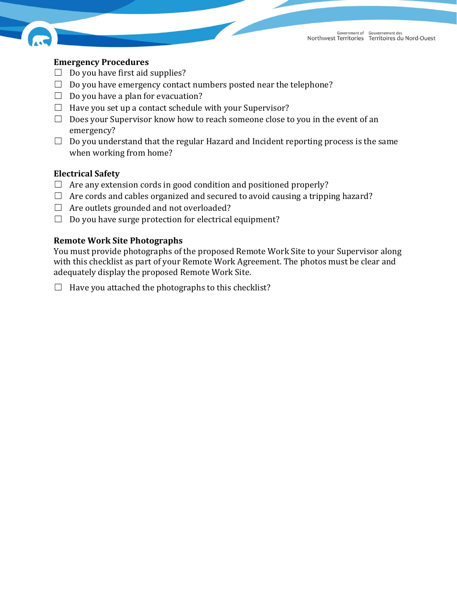

### **Emergency Procedures**

- $\Box$  Do you have first aid supplies?
- $\Box$  Do you have emergency contact numbers posted near the telephone?
- $\Box$  Do you have a plan for evacuation?
- $\Box$  Have you set up a contact schedule with your Supervisor?
- $\Box$  Does your Supervisor know how to reach someone close to you in the event of an emergency?
- $\Box$  Do you understand that the regular Hazard and Incident reporting process is the same when working from home?

#### **Electrical Safety**

- $\Box$  Are any extension cords in good condition and positioned properly?
- $\Box$  Are cords and cables organized and secured to avoid causing a tripping hazard?
- $\Box$  Are outlets grounded and not overloaded?
- $\Box$  Do you have surge protection for electrical equipment?

### **Remote Work Site Photographs**

You must provide photographs of the proposed Remote Work Site to your Supervisor along with this checklist as part of your Remote Work Agreement. The photos must be clear and adequately display the proposed Remote Work Site.

 $\Box$  Have you attached the photographs to this checklist?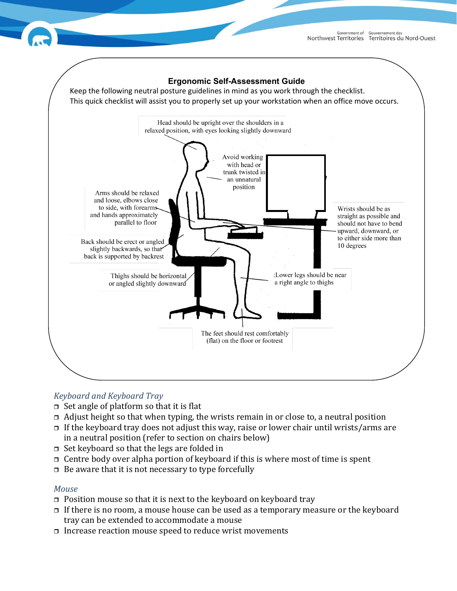



# *Keyboard and Keyboard Tray*

- $\Box$  Set angle of platform so that it is flat
- $\Box$  Adjust height so that when typing, the wrists remain in or close to, a neutral position
- $\Box$  If the keyboard tray does not adjust this way, raise or lower chair until wrists/arms are in a neutral position (refer to section on chairs below)
- $\Box$  Set keyboard so that the legs are folded in
- $\Box$  Centre body over alpha portion of keyboard if this is where most of time is spent
- $\Box$  Be aware that it is not necessary to type forcefully

### *Mouse*

- $\Box$  Position mouse so that it is next to the keyboard on keyboard tray
- $\Box$  If there is no room, a mouse house can be used as a temporary measure or the keyboard tray can be extended to accommodate a mouse
- $\Box$  Increase reaction mouse speed to reduce wrist movements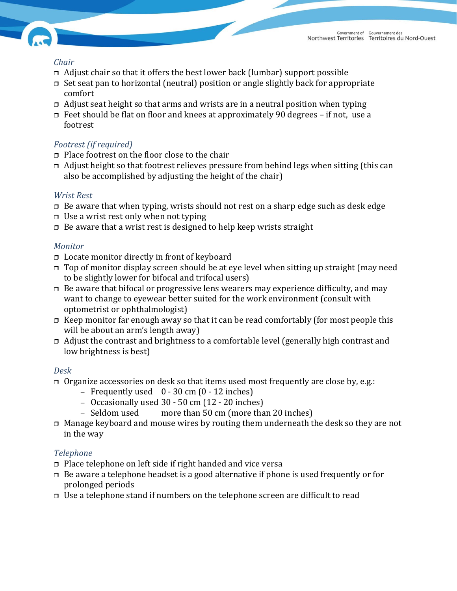

### *Chair*

- $\Box$  Adjust chair so that it offers the best lower back (lumbar) support possible
- $\Box$  Set seat pan to horizontal (neutral) position or angle slightly back for appropriate comfort
- $\Box$  Adjust seat height so that arms and wrists are in a neutral position when typing
- Feet should be flat on floor and knees at approximately 90 degrees if not, use a footrest

# *Footrest (if required)*

- $\Box$  Place footrest on the floor close to the chair
- $\Box$  Adjust height so that footrest relieves pressure from behind legs when sitting (this can also be accomplished by adjusting the height of the chair)

# *Wrist Rest*

- $\Box$  Be aware that when typing, wrists should not rest on a sharp edge such as desk edge
- $\Box$  Use a wrist rest only when not typing
- $\Box$  Be aware that a wrist rest is designed to help keep wrists straight

# *Monitor*

- $\Box$  Locate monitor directly in front of keyboard
- $\Box$  Top of monitor display screen should be at eye level when sitting up straight (may need to be slightly lower for bifocal and trifocal users)
- $\Box$  Be aware that bifocal or progressive lens wearers may experience difficulty, and may want to change to eyewear better suited for the work environment (consult with optometrist or ophthalmologist)
- $\Box$  Keep monitor far enough away so that it can be read comfortably (for most people this will be about an arm's length away)
- Adjust the contrast and brightness to a comfortable level (generally high contrast and low brightness is best)

# *Desk*

- $\Box$  Organize accessories on desk so that items used most frequently are close by, e.g.:
	- − Frequently used 0 30 cm (0 12 inches)
	- − Occasionally used 30 50 cm (12 20 inches)<br>− Seldom used more than 50 cm (more tha
	- $\mu$  more than 50 cm (more than 20 inches)
- $\Box$  Manage keyboard and mouse wires by routing them underneath the desk so they are not in the way

# *Telephone*

- $\Box$  Place telephone on left side if right handed and vice versa
- $\Box$  Be aware a telephone headset is a good alternative if phone is used frequently or for prolonged periods
- $\Box$  Use a telephone stand if numbers on the telephone screen are difficult to read